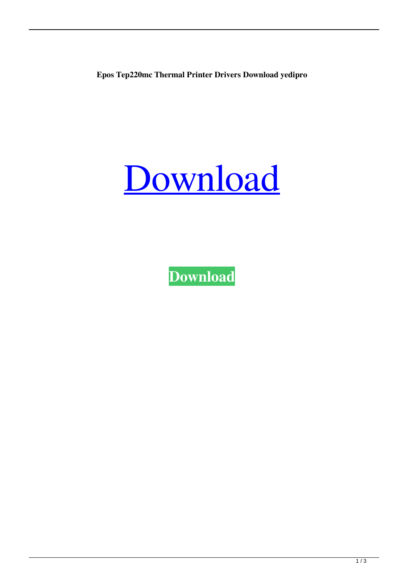**Epos Tep220mc Thermal Printer Drivers Download yedipro**

## [Download](http://evacdir.com/stultification/RXBvcyBUZXAyMjBtYyBUaGVybWFsIFByaW50ZXIgRHJpdmVycyBEb3dubG9hZARXB.birding.herbology?ZG93bmxvYWR8bmkyYlRSb2ZId3hOalV5TkRZek1EVXdmSHd5TlRjMGZId29UU2tnY21WaFpDMWliRzluSUZ0R1lYTjBJRWRGVGww=measly/salubrious==)

**[Download](http://evacdir.com/stultification/RXBvcyBUZXAyMjBtYyBUaGVybWFsIFByaW50ZXIgRHJpdmVycyBEb3dubG9hZARXB.birding.herbology?ZG93bmxvYWR8bmkyYlRSb2ZId3hOalV5TkRZek1EVXdmSHd5TlRjMGZId29UU2tnY21WaFpDMWliRzluSUZ0R1lYTjBJRWRGVGww=measly/salubrious==)**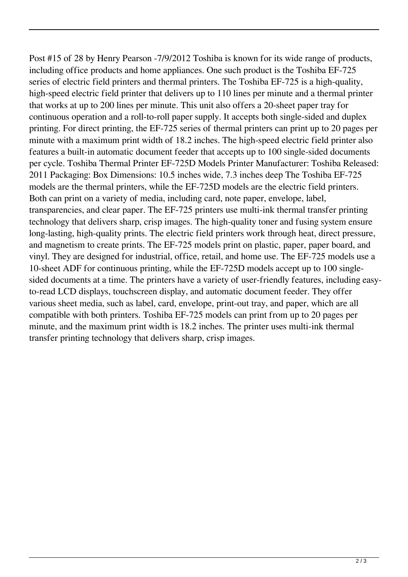Post #15 of 28 by Henry Pearson -7/9/2012 Toshiba is known for its wide range of products, including office products and home appliances. One such product is the Toshiba EF-725 series of electric field printers and thermal printers. The Toshiba EF-725 is a high-quality, high-speed electric field printer that delivers up to 110 lines per minute and a thermal printer that works at up to 200 lines per minute. This unit also offers a 20-sheet paper tray for continuous operation and a roll-to-roll paper supply. It accepts both single-sided and duplex printing. For direct printing, the EF-725 series of thermal printers can print up to 20 pages per minute with a maximum print width of 18.2 inches. The high-speed electric field printer also features a built-in automatic document feeder that accepts up to 100 single-sided documents per cycle. Toshiba Thermal Printer EF-725D Models Printer Manufacturer: Toshiba Released: 2011 Packaging: Box Dimensions: 10.5 inches wide, 7.3 inches deep The Toshiba EF-725 models are the thermal printers, while the EF-725D models are the electric field printers. Both can print on a variety of media, including card, note paper, envelope, label, transparencies, and clear paper. The EF-725 printers use multi-ink thermal transfer printing technology that delivers sharp, crisp images. The high-quality toner and fusing system ensure long-lasting, high-quality prints. The electric field printers work through heat, direct pressure, and magnetism to create prints. The EF-725 models print on plastic, paper, paper board, and vinyl. They are designed for industrial, office, retail, and home use. The EF-725 models use a 10-sheet ADF for continuous printing, while the EF-725D models accept up to 100 singlesided documents at a time. The printers have a variety of user-friendly features, including easyto-read LCD displays, touchscreen display, and automatic document feeder. They offer various sheet media, such as label, card, envelope, print-out tray, and paper, which are all compatible with both printers. Toshiba EF-725 models can print from up to 20 pages per minute, and the maximum print width is 18.2 inches. The printer uses multi-ink thermal transfer printing technology that delivers sharp, crisp images.